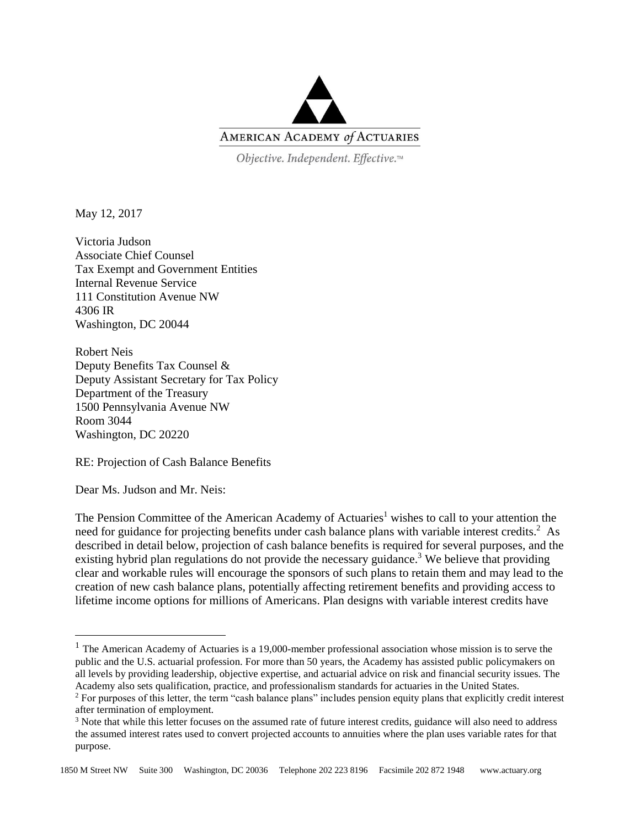

Objective. Independent. Effective.™

May 12, 2017

Victoria Judson Associate Chief Counsel Tax Exempt and Government Entities Internal Revenue Service 111 Constitution Avenue NW 4306 IR Washington, DC 20044

Robert Neis Deputy Benefits Tax Counsel & Deputy Assistant Secretary for Tax Policy Department of the Treasury 1500 Pennsylvania Avenue NW Room 3044 Washington, DC 20220

RE: Projection of Cash Balance Benefits

Dear Ms. Judson and Mr. Neis:

 $\overline{a}$ 

The Pension Committee of the American Academy of Actuaries<sup>1</sup> wishes to call to your attention the need for guidance for projecting benefits under cash balance plans with variable interest credits.<sup>2</sup> As described in detail below, projection of cash balance benefits is required for several purposes, and the existing hybrid plan regulations do not provide the necessary guidance.<sup>3</sup> We believe that providing clear and workable rules will encourage the sponsors of such plans to retain them and may lead to the creation of new cash balance plans, potentially affecting retirement benefits and providing access to lifetime income options for millions of Americans. Plan designs with variable interest credits have

<sup>&</sup>lt;sup>1</sup> The American Academy of Actuaries is a 19,000-member professional association whose mission is to serve the public and the U.S. actuarial profession. For more than 50 years, the Academy has assisted public policymakers on all levels by providing leadership, objective expertise, and actuarial advice on risk and financial security issues. The Academy also sets qualification, practice, and professionalism standards for actuaries in the United States.

<sup>&</sup>lt;sup>2</sup> For purposes of this letter, the term "cash balance plans" includes pension equity plans that explicitly credit interest after termination of employment.

<sup>&</sup>lt;sup>3</sup> Note that while this letter focuses on the assumed rate of future interest credits, guidance will also need to address the assumed interest rates used to convert projected accounts to annuities where the plan uses variable rates for that purpose.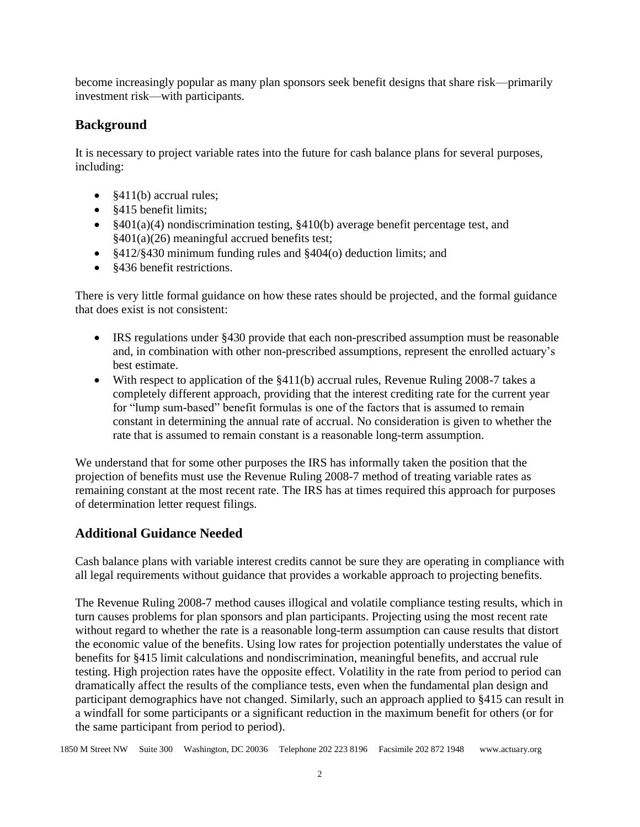become increasingly popular as many plan sponsors seek benefit designs that share risk—primarily investment risk—with participants.

## **Background**

It is necessary to project variable rates into the future for cash balance plans for several purposes, including:

- §411(b) accrual rules;
- §415 benefit limits;
- §401(a)(4) nondiscrimination testing, §410(b) average benefit percentage test, and §401(a)(26) meaningful accrued benefits test;
- §412/§430 minimum funding rules and §404(o) deduction limits; and
- §436 benefit restrictions.

There is very little formal guidance on how these rates should be projected, and the formal guidance that does exist is not consistent:

- IRS regulations under §430 provide that each non-prescribed assumption must be reasonable and, in combination with other non-prescribed assumptions, represent the enrolled actuary's best estimate.
- With respect to application of the §411(b) accrual rules, Revenue Ruling 2008-7 takes a completely different approach, providing that the interest crediting rate for the current year for "lump sum-based" benefit formulas is one of the factors that is assumed to remain constant in determining the annual rate of accrual. No consideration is given to whether the rate that is assumed to remain constant is a reasonable long-term assumption.

We understand that for some other purposes the IRS has informally taken the position that the projection of benefits must use the Revenue Ruling 2008-7 method of treating variable rates as remaining constant at the most recent rate. The IRS has at times required this approach for purposes of determination letter request filings.

# **Additional Guidance Needed**

Cash balance plans with variable interest credits cannot be sure they are operating in compliance with all legal requirements without guidance that provides a workable approach to projecting benefits.

The Revenue Ruling 2008-7 method causes illogical and volatile compliance testing results, which in turn causes problems for plan sponsors and plan participants. Projecting using the most recent rate without regard to whether the rate is a reasonable long-term assumption can cause results that distort the economic value of the benefits. Using low rates for projection potentially understates the value of benefits for §415 limit calculations and nondiscrimination, meaningful benefits, and accrual rule testing. High projection rates have the opposite effect. Volatility in the rate from period to period can dramatically affect the results of the compliance tests, even when the fundamental plan design and participant demographics have not changed. Similarly, such an approach applied to §415 can result in a windfall for some participants or a significant reduction in the maximum benefit for others (or for the same participant from period to period).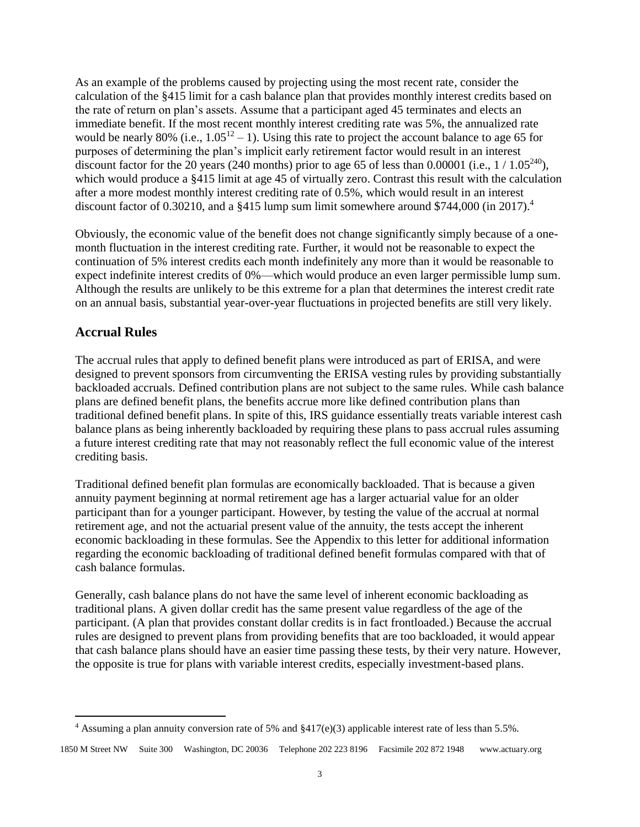As an example of the problems caused by projecting using the most recent rate, consider the calculation of the §415 limit for a cash balance plan that provides monthly interest credits based on the rate of return on plan's assets. Assume that a participant aged 45 terminates and elects an immediate benefit. If the most recent monthly interest crediting rate was 5%, the annualized rate would be nearly 80% (i.e.,  $1.05^{12} - 1$ ). Using this rate to project the account balance to age 65 for purposes of determining the plan's implicit early retirement factor would result in an interest discount factor for the 20 years (240 months) prior to age 65 of less than 0.00001 (i.e.,  $1/1.05^{240}$ ), which would produce a \$415 limit at age 45 of virtually zero. Contrast this result with the calculation after a more modest monthly interest crediting rate of 0.5%, which would result in an interest discount factor of 0.30210, and a §415 lump sum limit somewhere around \$744,000 (in 2017).<sup>4</sup>

Obviously, the economic value of the benefit does not change significantly simply because of a onemonth fluctuation in the interest crediting rate. Further, it would not be reasonable to expect the continuation of 5% interest credits each month indefinitely any more than it would be reasonable to expect indefinite interest credits of 0%—which would produce an even larger permissible lump sum. Although the results are unlikely to be this extreme for a plan that determines the interest credit rate on an annual basis, substantial year-over-year fluctuations in projected benefits are still very likely.

## **Accrual Rules**

 $\overline{a}$ 

The accrual rules that apply to defined benefit plans were introduced as part of ERISA, and were designed to prevent sponsors from circumventing the ERISA vesting rules by providing substantially backloaded accruals. Defined contribution plans are not subject to the same rules. While cash balance plans are defined benefit plans, the benefits accrue more like defined contribution plans than traditional defined benefit plans. In spite of this, IRS guidance essentially treats variable interest cash balance plans as being inherently backloaded by requiring these plans to pass accrual rules assuming a future interest crediting rate that may not reasonably reflect the full economic value of the interest crediting basis.

Traditional defined benefit plan formulas are economically backloaded. That is because a given annuity payment beginning at normal retirement age has a larger actuarial value for an older participant than for a younger participant. However, by testing the value of the accrual at normal retirement age, and not the actuarial present value of the annuity, the tests accept the inherent economic backloading in these formulas. See the Appendix to this letter for additional information regarding the economic backloading of traditional defined benefit formulas compared with that of cash balance formulas.

Generally, cash balance plans do not have the same level of inherent economic backloading as traditional plans. A given dollar credit has the same present value regardless of the age of the participant. (A plan that provides constant dollar credits is in fact frontloaded.) Because the accrual rules are designed to prevent plans from providing benefits that are too backloaded, it would appear that cash balance plans should have an easier time passing these tests, by their very nature. However, the opposite is true for plans with variable interest credits, especially investment-based plans.

<sup>&</sup>lt;sup>4</sup> Assuming a plan annuity conversion rate of 5% and  $\S417(e)(3)$  applicable interest rate of less than 5.5%.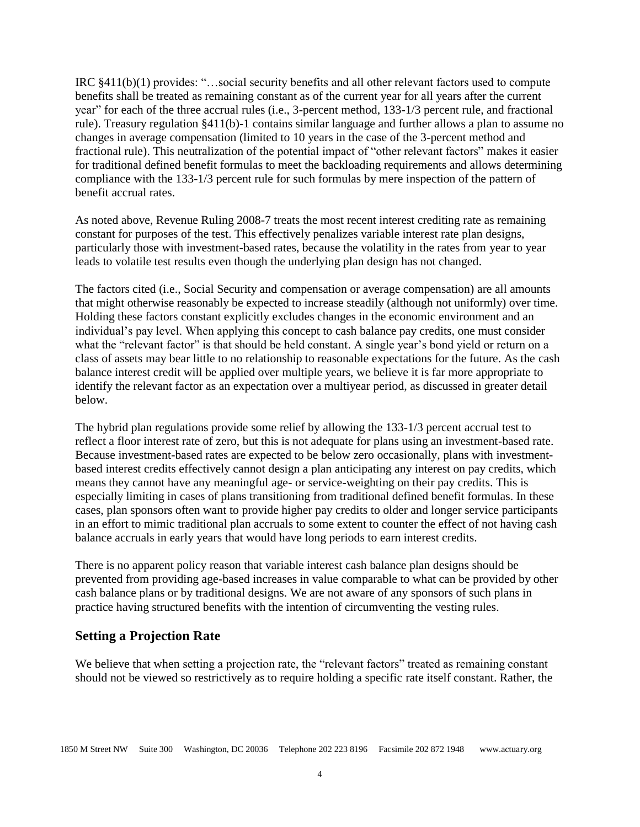IRC §411(b)(1) provides: "…social security benefits and all other relevant factors used to compute benefits shall be treated as remaining constant as of the current year for all years after the current year" for each of the three accrual rules (i.e., 3-percent method, 133-1/3 percent rule, and fractional rule). Treasury regulation §411(b)-1 contains similar language and further allows a plan to assume no changes in average compensation (limited to 10 years in the case of the 3-percent method and fractional rule). This neutralization of the potential impact of "other relevant factors" makes it easier for traditional defined benefit formulas to meet the backloading requirements and allows determining compliance with the 133-1/3 percent rule for such formulas by mere inspection of the pattern of benefit accrual rates.

As noted above, Revenue Ruling 2008-7 treats the most recent interest crediting rate as remaining constant for purposes of the test. This effectively penalizes variable interest rate plan designs, particularly those with investment-based rates, because the volatility in the rates from year to year leads to volatile test results even though the underlying plan design has not changed.

The factors cited (i.e., Social Security and compensation or average compensation) are all amounts that might otherwise reasonably be expected to increase steadily (although not uniformly) over time. Holding these factors constant explicitly excludes changes in the economic environment and an individual's pay level. When applying this concept to cash balance pay credits, one must consider what the "relevant factor" is that should be held constant. A single year's bond yield or return on a class of assets may bear little to no relationship to reasonable expectations for the future. As the cash balance interest credit will be applied over multiple years, we believe it is far more appropriate to identify the relevant factor as an expectation over a multiyear period, as discussed in greater detail below.

The hybrid plan regulations provide some relief by allowing the 133-1/3 percent accrual test to reflect a floor interest rate of zero, but this is not adequate for plans using an investment-based rate. Because investment-based rates are expected to be below zero occasionally, plans with investmentbased interest credits effectively cannot design a plan anticipating any interest on pay credits, which means they cannot have any meaningful age- or service-weighting on their pay credits. This is especially limiting in cases of plans transitioning from traditional defined benefit formulas. In these cases, plan sponsors often want to provide higher pay credits to older and longer service participants in an effort to mimic traditional plan accruals to some extent to counter the effect of not having cash balance accruals in early years that would have long periods to earn interest credits.

There is no apparent policy reason that variable interest cash balance plan designs should be prevented from providing age-based increases in value comparable to what can be provided by other cash balance plans or by traditional designs. We are not aware of any sponsors of such plans in practice having structured benefits with the intention of circumventing the vesting rules.

#### **Setting a Projection Rate**

We believe that when setting a projection rate, the "relevant factors" treated as remaining constant should not be viewed so restrictively as to require holding a specific rate itself constant. Rather, the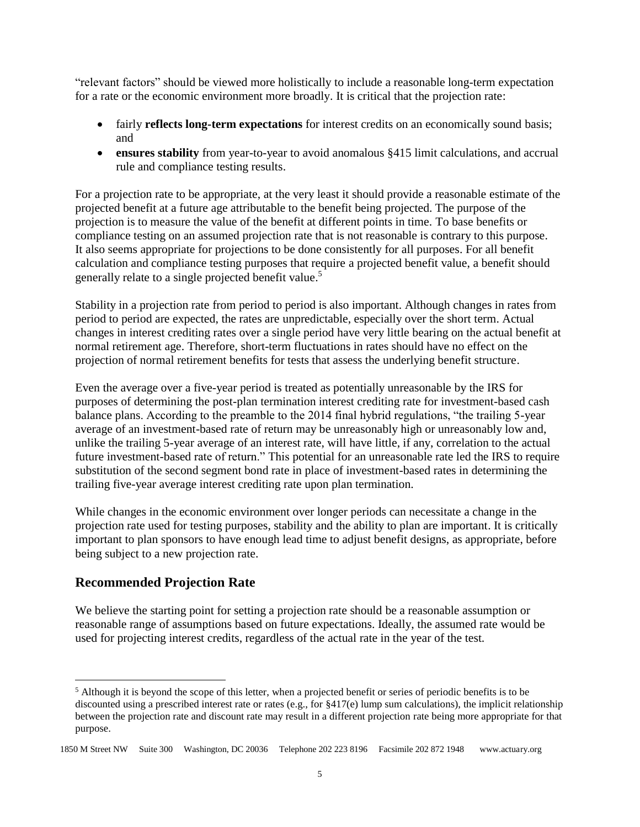"relevant factors" should be viewed more holistically to include a reasonable long-term expectation for a rate or the economic environment more broadly. It is critical that the projection rate:

- fairly **reflects long-term expectations** for interest credits on an economically sound basis; and
- **ensures stability** from year-to-year to avoid anomalous §415 limit calculations, and accrual rule and compliance testing results.

For a projection rate to be appropriate, at the very least it should provide a reasonable estimate of the projected benefit at a future age attributable to the benefit being projected. The purpose of the projection is to measure the value of the benefit at different points in time. To base benefits or compliance testing on an assumed projection rate that is not reasonable is contrary to this purpose. It also seems appropriate for projections to be done consistently for all purposes. For all benefit calculation and compliance testing purposes that require a projected benefit value, a benefit should generally relate to a single projected benefit value. 5

Stability in a projection rate from period to period is also important. Although changes in rates from period to period are expected, the rates are unpredictable, especially over the short term. Actual changes in interest crediting rates over a single period have very little bearing on the actual benefit at normal retirement age. Therefore, short-term fluctuations in rates should have no effect on the projection of normal retirement benefits for tests that assess the underlying benefit structure.

Even the average over a five-year period is treated as potentially unreasonable by the IRS for purposes of determining the post-plan termination interest crediting rate for investment-based cash balance plans. According to the preamble to the 2014 final hybrid regulations, "the trailing 5-year average of an investment-based rate of return may be unreasonably high or unreasonably low and, unlike the trailing 5-year average of an interest rate, will have little, if any, correlation to the actual future investment-based rate of return." This potential for an unreasonable rate led the IRS to require substitution of the second segment bond rate in place of investment-based rates in determining the trailing five-year average interest crediting rate upon plan termination.

While changes in the economic environment over longer periods can necessitate a change in the projection rate used for testing purposes, stability and the ability to plan are important. It is critically important to plan sponsors to have enough lead time to adjust benefit designs, as appropriate, before being subject to a new projection rate.

## **Recommended Projection Rate**

 $\overline{a}$ 

We believe the starting point for setting a projection rate should be a reasonable assumption or reasonable range of assumptions based on future expectations. Ideally, the assumed rate would be used for projecting interest credits, regardless of the actual rate in the year of the test.

<sup>&</sup>lt;sup>5</sup> Although it is beyond the scope of this letter, when a projected benefit or series of periodic benefits is to be discounted using a prescribed interest rate or rates (e.g., for §417(e) lump sum calculations), the implicit relationship between the projection rate and discount rate may result in a different projection rate being more appropriate for that purpose.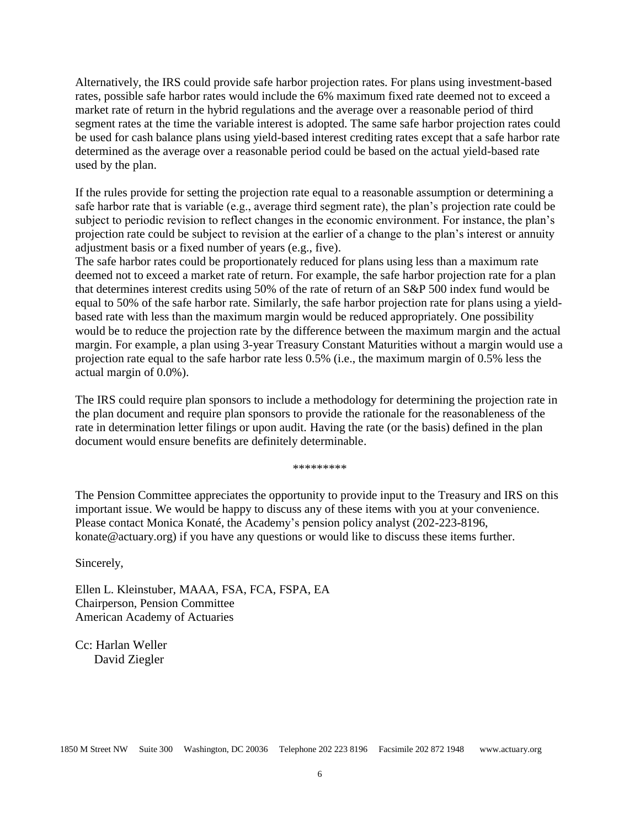Alternatively, the IRS could provide safe harbor projection rates. For plans using investment-based rates, possible safe harbor rates would include the 6% maximum fixed rate deemed not to exceed a market rate of return in the hybrid regulations and the average over a reasonable period of third segment rates at the time the variable interest is adopted. The same safe harbor projection rates could be used for cash balance plans using yield-based interest crediting rates except that a safe harbor rate determined as the average over a reasonable period could be based on the actual yield-based rate used by the plan.

If the rules provide for setting the projection rate equal to a reasonable assumption or determining a safe harbor rate that is variable (e.g., average third segment rate), the plan's projection rate could be subject to periodic revision to reflect changes in the economic environment. For instance, the plan's projection rate could be subject to revision at the earlier of a change to the plan's interest or annuity adjustment basis or a fixed number of years (e.g., five).

The safe harbor rates could be proportionately reduced for plans using less than a maximum rate deemed not to exceed a market rate of return. For example, the safe harbor projection rate for a plan that determines interest credits using 50% of the rate of return of an S&P 500 index fund would be equal to 50% of the safe harbor rate. Similarly, the safe harbor projection rate for plans using a yieldbased rate with less than the maximum margin would be reduced appropriately. One possibility would be to reduce the projection rate by the difference between the maximum margin and the actual margin. For example, a plan using 3-year Treasury Constant Maturities without a margin would use a projection rate equal to the safe harbor rate less 0.5% (i.e., the maximum margin of 0.5% less the actual margin of 0.0%).

The IRS could require plan sponsors to include a methodology for determining the projection rate in the plan document and require plan sponsors to provide the rationale for the reasonableness of the rate in determination letter filings or upon audit. Having the rate (or the basis) defined in the plan document would ensure benefits are definitely determinable.

\*\*\*\*\*\*\*\*\*

The Pension Committee appreciates the opportunity to provide input to the Treasury and IRS on this important issue. We would be happy to discuss any of these items with you at your convenience. Please contact Monica Konaté, the Academy's pension policy analyst (202-223-8196, konate@actuary.org) if you have any questions or would like to discuss these items further.

Sincerely,

Ellen L. Kleinstuber, MAAA, FSA, FCA, FSPA, EA Chairperson, Pension Committee American Academy of Actuaries

Cc: Harlan Weller David Ziegler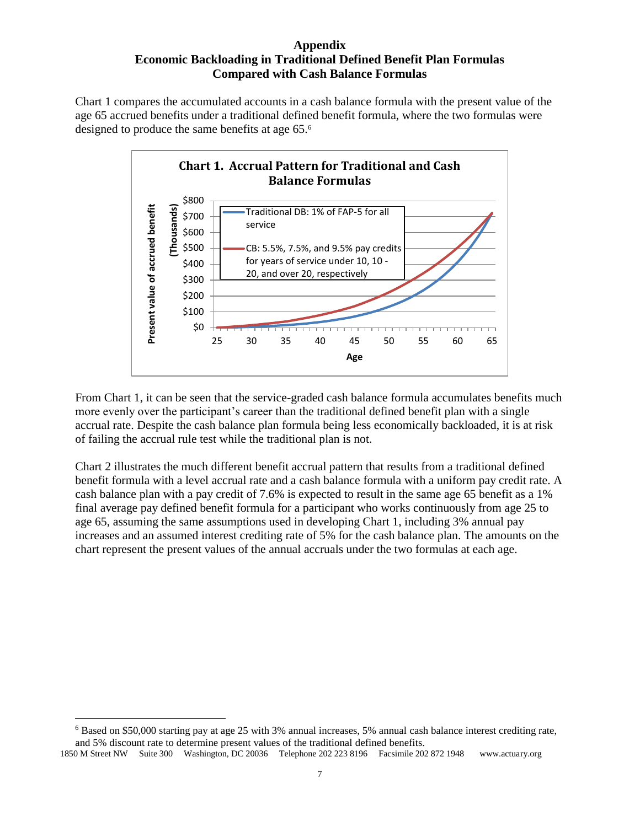#### **Appendix Economic Backloading in Traditional Defined Benefit Plan Formulas Compared with Cash Balance Formulas**

Chart 1 compares the accumulated accounts in a cash balance formula with the present value of the age 65 accrued benefits under a traditional defined benefit formula, where the two formulas were designed to produce the same benefits at age 65.<sup>6</sup>



From Chart 1, it can be seen that the service-graded cash balance formula accumulates benefits much more evenly over the participant's career than the traditional defined benefit plan with a single accrual rate. Despite the cash balance plan formula being less economically backloaded, it is at risk of failing the accrual rule test while the traditional plan is not.

Chart 2 illustrates the much different benefit accrual pattern that results from a traditional defined benefit formula with a level accrual rate and a cash balance formula with a uniform pay credit rate. A cash balance plan with a pay credit of 7.6% is expected to result in the same age 65 benefit as a 1% final average pay defined benefit formula for a participant who works continuously from age 25 to age 65, assuming the same assumptions used in developing Chart 1, including 3% annual pay increases and an assumed interest crediting rate of 5% for the cash balance plan. The amounts on the chart represent the present values of the annual accruals under the two formulas at each age.

 $\overline{a}$ 

<sup>6</sup> Based on \$50,000 starting pay at age 25 with 3% annual increases, 5% annual cash balance interest crediting rate, and 5% discount rate to determine present values of the traditional defined benefits.

<sup>1850</sup> M Street NW Suite 300 Washington, DC 20036 Telephone 202 223 8196 Facsimile 202 872 1948 www.actuary.org